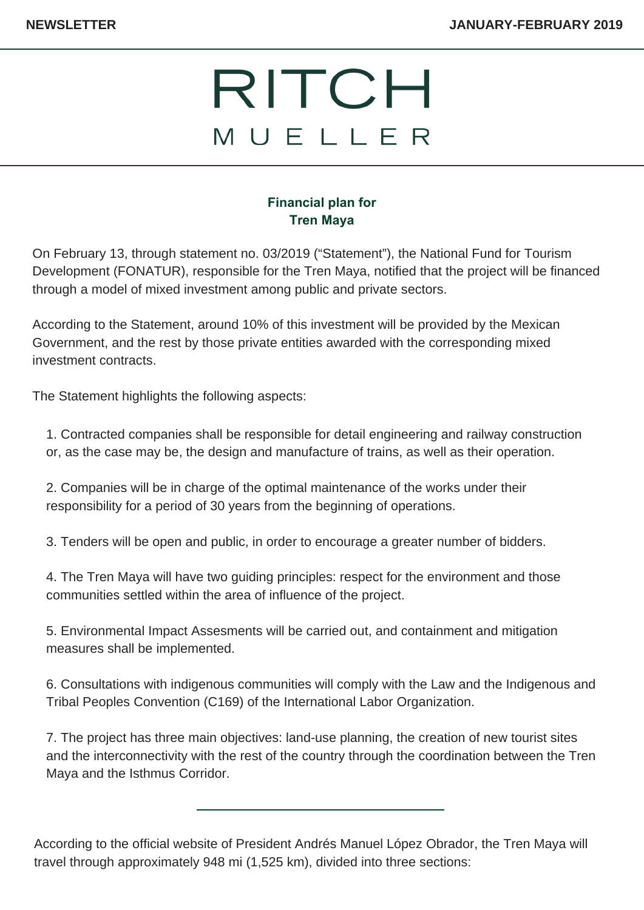## RITCH MUELLER

## **Financial plan for Tren Maya**

On February 13, through statement no. 03/2019 ("Statement"), the National Fund for Tourism Development (FONATUR), responsible for the Tren Maya, notified that the project will be financed through a model of mixed investment among public and private sectors.

According to the Statement, around 10% of this investment will be provided by the Mexican Government, and the rest by those private entities awarded with the corresponding mixed investment contracts.

The Statement highlights the following aspects:

1. Contracted companies shall be responsible for detail engineering and railway construction or, as the case may be, the design and manufacture of trains, as well as their operation.

2. Companies will be in charge of the optimal maintenance of the works under their responsibility for a period of 30 years from the beginning of operations.

3. Tenders will be open and public, in order to encourage a greater number of bidders.

4. The Tren Maya will have two guiding principles: respect for the environment and those communities settled within the area of influence of the project.

5. Environmental Impact Assesments will be carried out, and containment and mitigation measures shall be implemented.

6. Consultations with indigenous communities will comply with the Law and the Indigenous and Tribal Peoples Convention (C169) of the International Labor Organization.

7. The project has three main objectives: land-use planning, the creation of new tourist sites and the interconnectivity with the rest of the country through the coordination between the Tren Maya and the Isthmus Corridor.

According to the official website of President Andrés Manuel López Obrador, the Tren Maya will travel through approximately 948 mi (1,525 km), divided into three sections: